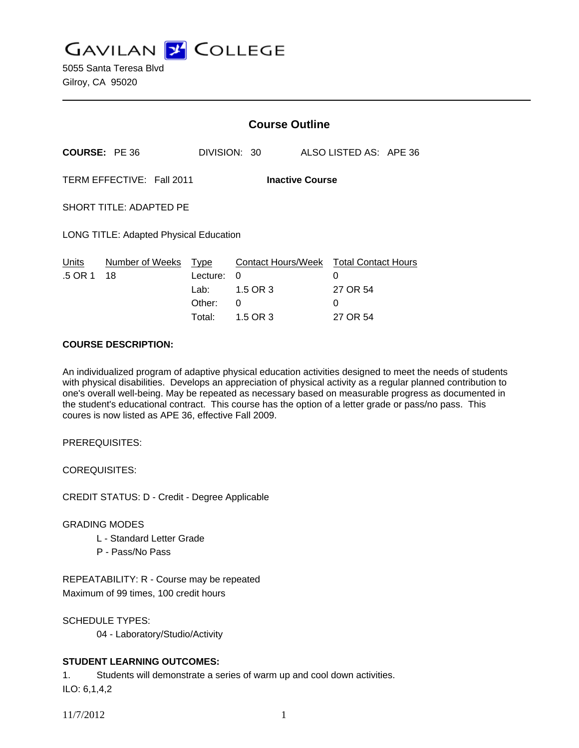**GAVILAN J COLLEGE** 

|                                                     |                       | <b>Course Outline</b>                           |                                |                        |                                                    |  |
|-----------------------------------------------------|-----------------------|-------------------------------------------------|--------------------------------|------------------------|----------------------------------------------------|--|
| <b>COURSE: PE 36</b>                                |                       |                                                 | DIVISION: 30                   | ALSO LISTED AS: APE 36 |                                                    |  |
| TERM EFFECTIVE: Fall 2011<br><b>Inactive Course</b> |                       |                                                 |                                |                        |                                                    |  |
| SHORT TITLE: ADAPTED PE                             |                       |                                                 |                                |                        |                                                    |  |
| LONG TITLE: Adapted Physical Education              |                       |                                                 |                                |                        |                                                    |  |
| Units<br>.5 OR 1                                    | Number of Weeks<br>18 | Type<br>Lecture:<br>Lab: La<br>Other:<br>Total: | 0<br>1.5 OR 3<br>0<br>1.5 OR 3 | 0<br>27 OR 54<br>0     | Contact Hours/Week Total Contact Hours<br>27 OR 54 |  |

### **COURSE DESCRIPTION:**

An individualized program of adaptive physical education activities designed to meet the needs of students with physical disabilities. Develops an appreciation of physical activity as a regular planned contribution to one's overall well-being. May be repeated as necessary based on measurable progress as documented in the student's educational contract. This course has the option of a letter grade or pass/no pass. This coures is now listed as APE 36, effective Fall 2009.

PREREQUISITES:

COREQUISITES:

CREDIT STATUS: D - Credit - Degree Applicable

# GRADING MODES

- L Standard Letter Grade
- P Pass/No Pass

REPEATABILITY: R - Course may be repeated Maximum of 99 times, 100 credit hours

SCHEDULE TYPES:

04 - Laboratory/Studio/Activity

# **STUDENT LEARNING OUTCOMES:**

1. Students will demonstrate a series of warm up and cool down activities.

ILO: 6,1,4,2

11/7/2012 1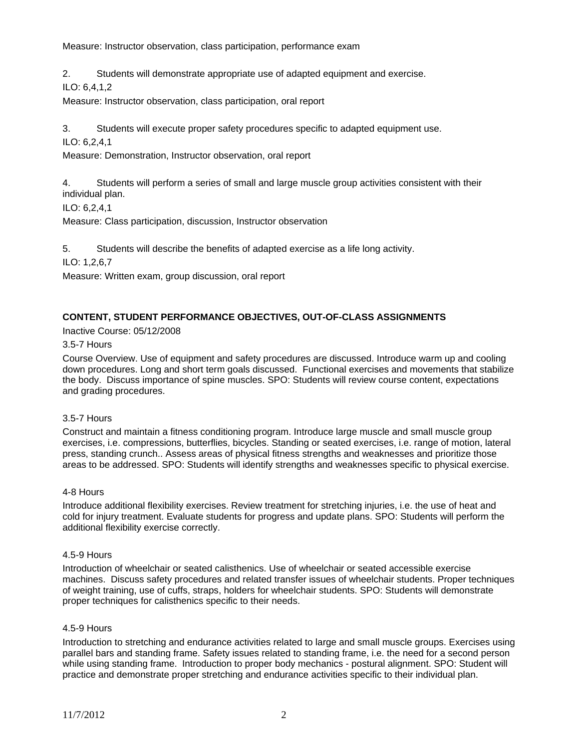Measure: Instructor observation, class participation, performance exam

2. Students will demonstrate appropriate use of adapted equipment and exercise.

ILO: 6,4,1,2

Measure: Instructor observation, class participation, oral report

3. Students will execute proper safety procedures specific to adapted equipment use.

ILO: 6,2,4,1

Measure: Demonstration, Instructor observation, oral report

4. Students will perform a series of small and large muscle group activities consistent with their individual plan.

ILO: 6,2,4,1

Measure: Class participation, discussion, Instructor observation

5. Students will describe the benefits of adapted exercise as a life long activity.

ILO: 1,2,6,7

Measure: Written exam, group discussion, oral report

### **CONTENT, STUDENT PERFORMANCE OBJECTIVES, OUT-OF-CLASS ASSIGNMENTS**

Inactive Course: 05/12/2008

3.5-7 Hours

Course Overview. Use of equipment and safety procedures are discussed. Introduce warm up and cooling down procedures. Long and short term goals discussed. Functional exercises and movements that stabilize the body. Discuss importance of spine muscles. SPO: Students will review course content, expectations and grading procedures.

#### 3.5-7 Hours

Construct and maintain a fitness conditioning program. Introduce large muscle and small muscle group exercises, i.e. compressions, butterflies, bicycles. Standing or seated exercises, i.e. range of motion, lateral press, standing crunch.. Assess areas of physical fitness strengths and weaknesses and prioritize those areas to be addressed. SPO: Students will identify strengths and weaknesses specific to physical exercise.

#### 4-8 Hours

Introduce additional flexibility exercises. Review treatment for stretching injuries, i.e. the use of heat and cold for injury treatment. Evaluate students for progress and update plans. SPO: Students will perform the additional flexibility exercise correctly.

#### 4.5-9 Hours

Introduction of wheelchair or seated calisthenics. Use of wheelchair or seated accessible exercise machines. Discuss safety procedures and related transfer issues of wheelchair students. Proper techniques of weight training, use of cuffs, straps, holders for wheelchair students. SPO: Students will demonstrate proper techniques for calisthenics specific to their needs.

#### 4.5-9 Hours

Introduction to stretching and endurance activities related to large and small muscle groups. Exercises using parallel bars and standing frame. Safety issues related to standing frame, i.e. the need for a second person while using standing frame. Introduction to proper body mechanics - postural alignment. SPO: Student will practice and demonstrate proper stretching and endurance activities specific to their individual plan.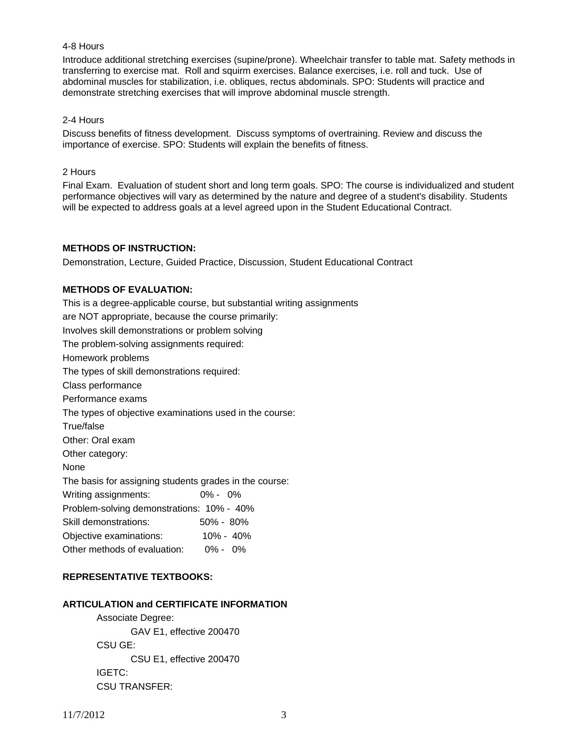# 4-8 Hours

Introduce additional stretching exercises (supine/prone). Wheelchair transfer to table mat. Safety methods in transferring to exercise mat. Roll and squirm exercises. Balance exercises, i.e. roll and tuck. Use of abdominal muscles for stabilization, i.e. obliques, rectus abdominals. SPO: Students will practice and demonstrate stretching exercises that will improve abdominal muscle strength.

#### 2-4 Hours

Discuss benefits of fitness development. Discuss symptoms of overtraining. Review and discuss the importance of exercise. SPO: Students will explain the benefits of fitness.

#### 2 Hours

Final Exam. Evaluation of student short and long term goals. SPO: The course is individualized and student performance objectives will vary as determined by the nature and degree of a student's disability. Students will be expected to address goals at a level agreed upon in the Student Educational Contract.

### **METHODS OF INSTRUCTION:**

Demonstration, Lecture, Guided Practice, Discussion, Student Educational Contract

### **METHODS OF EVALUATION:**

This is a degree-applicable course, but substantial writing assignments are NOT appropriate, because the course primarily: Involves skill demonstrations or problem solving The problem-solving assignments required: Homework problems The types of skill demonstrations required: Class performance Performance exams The types of objective examinations used in the course: True/false Other: Oral exam Other category: None The basis for assigning students grades in the course: Writing assignments: 0% - 0% Problem-solving demonstrations: 10% - 40% Skill demonstrations: 50% - 80% Objective examinations: 10% - 40% Other methods of evaluation: 0% - 0%

# **REPRESENTATIVE TEXTBOOKS:**

# **ARTICULATION and CERTIFICATE INFORMATION**

 Associate Degree: GAV E1, effective 200470 CSU GE: CSU E1, effective 200470 IGETC: CSU TRANSFER: